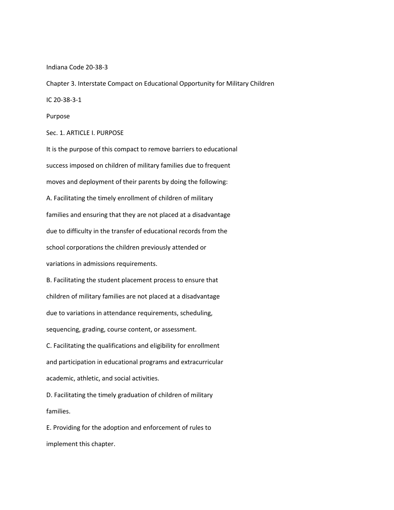Indiana Code 20-38-3

Chapter 3. Interstate Compact on Educational Opportunity for Military Children

IC 20-38-3-1

Purpose

Sec. 1. ARTICLE I. PURPOSE

It is the purpose of this compact to remove barriers to educational success imposed on children of military families due to frequent moves and deployment of their parents by doing the following: A. Facilitating the timely enrollment of children of military families and ensuring that they are not placed at a disadvantage due to difficulty in the transfer of educational records from the school corporations the children previously attended or variations in admissions requirements.

B. Facilitating the student placement process to ensure that children of military families are not placed at a disadvantage due to variations in attendance requirements, scheduling, sequencing, grading, course content, or assessment.

C. Facilitating the qualifications and eligibility for enrollment and participation in educational programs and extracurricular academic, athletic, and social activities.

D. Facilitating the timely graduation of children of military families.

E. Providing for the adoption and enforcement of rules to implement this chapter.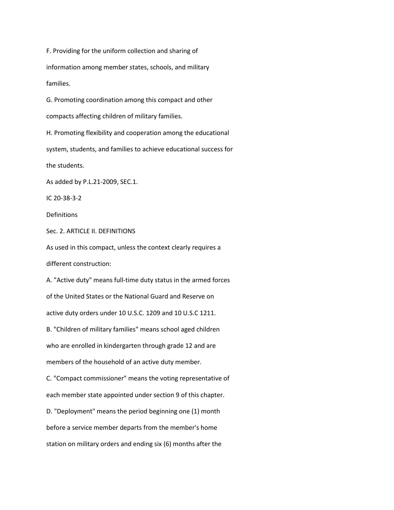F. Providing for the uniform collection and sharing of information among member states, schools, and military families. G. Promoting coordination among this compact and other compacts affecting children of military families. H. Promoting flexibility and cooperation among the educational system, students, and families to achieve educational success for the students. As added by P.L.21-2009, SEC.1. IC 20-38-3-2 Definitions Sec. 2. ARTICLE II. DEFINITIONS As used in this compact, unless the context clearly requires a different construction: A. "Active duty" means full-time duty status in the armed forces of the United States or the National Guard and Reserve on active duty orders under 10 U.S.C. 1209 and 10 U.S.C 1211. B. "Children of military families" means school aged children who are enrolled in kindergarten through grade 12 and are members of the household of an active duty member. C. "Compact commissioner" means the voting representative of each member state appointed under section 9 of this chapter. D. "Deployment" means the period beginning one (1) month before a service member departs from the member's home station on military orders and ending six (6) months after the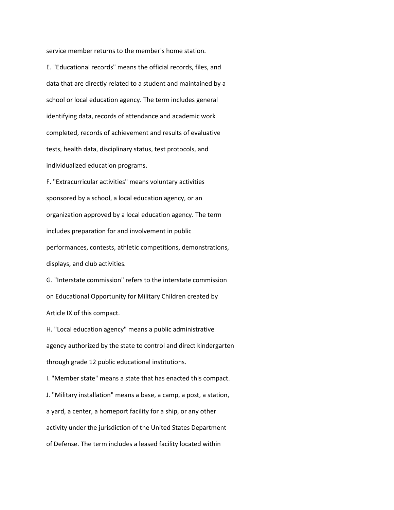service member returns to the member's home station.

E. "Educational records" means the official records, files, and data that are directly related to a student and maintained by a school or local education agency. The term includes general identifying data, records of attendance and academic work completed, records of achievement and results of evaluative tests, health data, disciplinary status, test protocols, and individualized education programs.

F. "Extracurricular activities" means voluntary activities sponsored by a school, a local education agency, or an organization approved by a local education agency. The term includes preparation for and involvement in public performances, contests, athletic competitions, demonstrations, displays, and club activities.

G. "Interstate commission" refers to the interstate commission on Educational Opportunity for Military Children created by Article IX of this compact.

H. "Local education agency" means a public administrative agency authorized by the state to control and direct kindergarten through grade 12 public educational institutions.

I. "Member state" means a state that has enacted this compact. J. "Military installation" means a base, a camp, a post, a station, a yard, a center, a homeport facility for a ship, or any other activity under the jurisdiction of the United States Department of Defense. The term includes a leased facility located within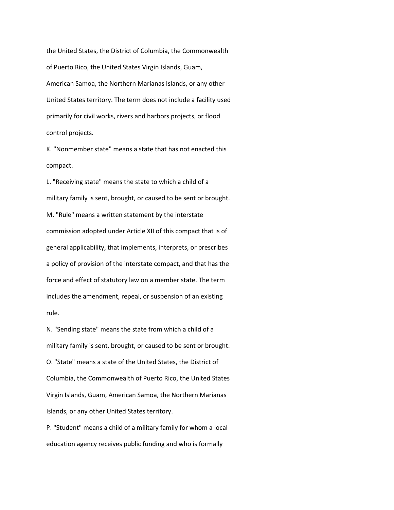the United States, the District of Columbia, the Commonwealth of Puerto Rico, the United States Virgin Islands, Guam, American Samoa, the Northern Marianas Islands, or any other United States territory. The term does not include a facility used primarily for civil works, rivers and harbors projects, or flood control projects.

K. "Nonmember state" means a state that has not enacted this compact.

L. "Receiving state" means the state to which a child of a military family is sent, brought, or caused to be sent or brought. M. "Rule" means a written statement by the interstate commission adopted under Article XII of this compact that is of general applicability, that implements, interprets, or prescribes a policy of provision of the interstate compact, and that has the force and effect of statutory law on a member state. The term includes the amendment, repeal, or suspension of an existing rule.

N. "Sending state" means the state from which a child of a military family is sent, brought, or caused to be sent or brought. O. "State" means a state of the United States, the District of Columbia, the Commonwealth of Puerto Rico, the United States Virgin Islands, Guam, American Samoa, the Northern Marianas Islands, or any other United States territory.

P. "Student" means a child of a military family for whom a local education agency receives public funding and who is formally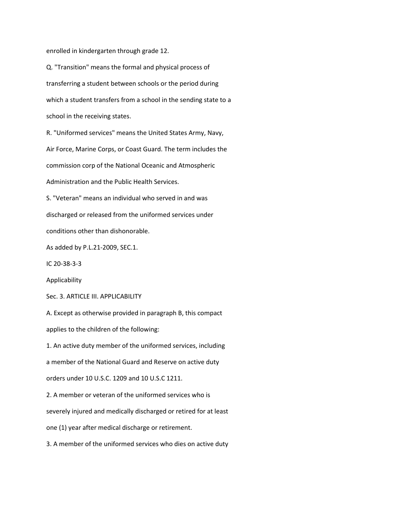enrolled in kindergarten through grade 12.

Q. "Transition" means the formal and physical process of transferring a student between schools or the period during which a student transfers from a school in the sending state to a school in the receiving states.

R. "Uniformed services" means the United States Army, Navy, Air Force, Marine Corps, or Coast Guard. The term includes the commission corp of the National Oceanic and Atmospheric Administration and the Public Health Services.

S. "Veteran" means an individual who served in and was discharged or released from the uniformed services under conditions other than dishonorable.

As added by P.L.21-2009, SEC.1.

IC 20-38-3-3

Applicability

Sec. 3. ARTICLE III. APPLICABILITY

A. Except as otherwise provided in paragraph B, this compact applies to the children of the following:

1. An active duty member of the uniformed services, including

a member of the National Guard and Reserve on active duty

orders under 10 U.S.C. 1209 and 10 U.S.C 1211.

2. A member or veteran of the uniformed services who is

severely injured and medically discharged or retired for at least

one (1) year after medical discharge or retirement.

3. A member of the uniformed services who dies on active duty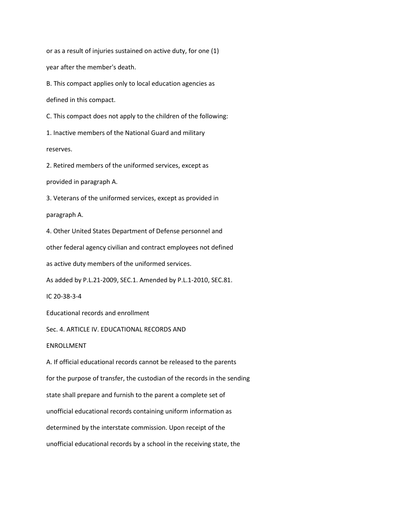or as a result of injuries sustained on active duty, for one (1) year after the member's death.

B. This compact applies only to local education agencies as

defined in this compact.

C. This compact does not apply to the children of the following:

1. Inactive members of the National Guard and military

reserves.

2. Retired members of the uniformed services, except as

provided in paragraph A.

3. Veterans of the uniformed services, except as provided in

paragraph A.

4. Other United States Department of Defense personnel and

other federal agency civilian and contract employees not defined

as active duty members of the uniformed services.

As added by P.L.21-2009, SEC.1. Amended by P.L.1-2010, SEC.81.

IC 20-38-3-4

Educational records and enrollment

Sec. 4. ARTICLE IV. EDUCATIONAL RECORDS AND

## ENROLLMENT

A. If official educational records cannot be released to the parents for the purpose of transfer, the custodian of the records in the sending state shall prepare and furnish to the parent a complete set of unofficial educational records containing uniform information as determined by the interstate commission. Upon receipt of the unofficial educational records by a school in the receiving state, the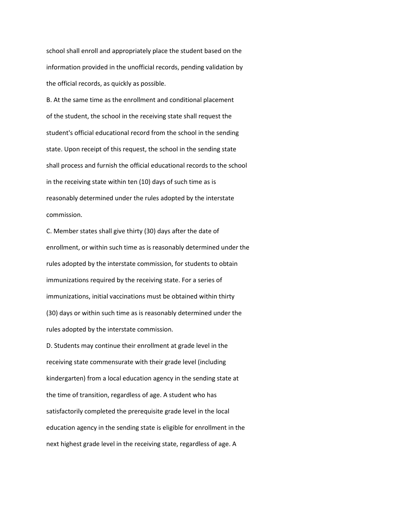school shall enroll and appropriately place the student based on the information provided in the unofficial records, pending validation by the official records, as quickly as possible.

B. At the same time as the enrollment and conditional placement of the student, the school in the receiving state shall request the student's official educational record from the school in the sending state. Upon receipt of this request, the school in the sending state shall process and furnish the official educational records to the school in the receiving state within ten (10) days of such time as is reasonably determined under the rules adopted by the interstate commission.

C. Member states shall give thirty (30) days after the date of enrollment, or within such time as is reasonably determined under the rules adopted by the interstate commission, for students to obtain immunizations required by the receiving state. For a series of immunizations, initial vaccinations must be obtained within thirty (30) days or within such time as is reasonably determined under the rules adopted by the interstate commission.

D. Students may continue their enrollment at grade level in the receiving state commensurate with their grade level (including kindergarten) from a local education agency in the sending state at the time of transition, regardless of age. A student who has satisfactorily completed the prerequisite grade level in the local education agency in the sending state is eligible for enrollment in the next highest grade level in the receiving state, regardless of age. A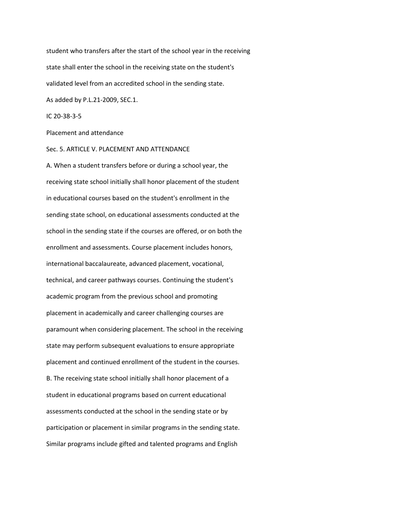student who transfers after the start of the school year in the receiving state shall enter the school in the receiving state on the student's validated level from an accredited school in the sending state.

As added by P.L.21-2009, SEC.1.

IC 20-38-3-5

Placement and attendance

Sec. 5. ARTICLE V. PLACEMENT AND ATTENDANCE

A. When a student transfers before or during a school year, the receiving state school initially shall honor placement of the student in educational courses based on the student's enrollment in the sending state school, on educational assessments conducted at the school in the sending state if the courses are offered, or on both the enrollment and assessments. Course placement includes honors, international baccalaureate, advanced placement, vocational, technical, and career pathways courses. Continuing the student's academic program from the previous school and promoting placement in academically and career challenging courses are paramount when considering placement. The school in the receiving state may perform subsequent evaluations to ensure appropriate placement and continued enrollment of the student in the courses. B. The receiving state school initially shall honor placement of a student in educational programs based on current educational assessments conducted at the school in the sending state or by participation or placement in similar programs in the sending state. Similar programs include gifted and talented programs and English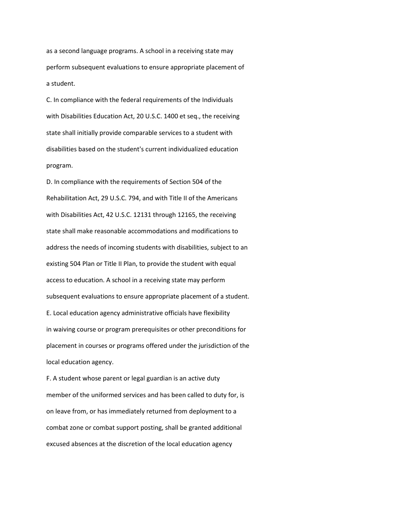as a second language programs. A school in a receiving state may perform subsequent evaluations to ensure appropriate placement of a student.

C. In compliance with the federal requirements of the Individuals with Disabilities Education Act, 20 U.S.C. 1400 et seq., the receiving state shall initially provide comparable services to a student with disabilities based on the student's current individualized education program.

D. In compliance with the requirements of Section 504 of the Rehabilitation Act, 29 U.S.C. 794, and with Title II of the Americans with Disabilities Act, 42 U.S.C. 12131 through 12165, the receiving state shall make reasonable accommodations and modifications to address the needs of incoming students with disabilities, subject to an existing 504 Plan or Title II Plan, to provide the student with equal access to education. A school in a receiving state may perform subsequent evaluations to ensure appropriate placement of a student. E. Local education agency administrative officials have flexibility in waiving course or program prerequisites or other preconditions for placement in courses or programs offered under the jurisdiction of the local education agency.

F. A student whose parent or legal guardian is an active duty member of the uniformed services and has been called to duty for, is on leave from, or has immediately returned from deployment to a combat zone or combat support posting, shall be granted additional excused absences at the discretion of the local education agency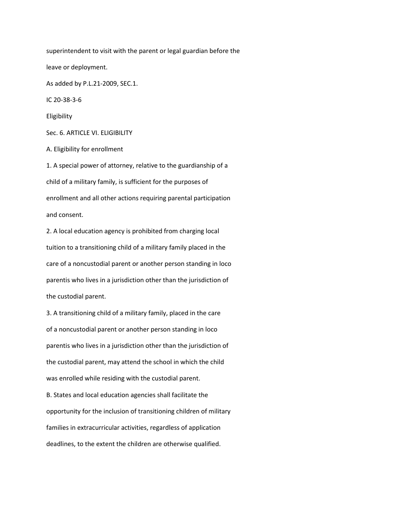superintendent to visit with the parent or legal guardian before the leave or deployment. As added by P.L.21-2009, SEC.1. IC 20-38-3-6 Eligibility Sec. 6. ARTICLE VI. ELIGIBILITY A. Eligibility for enrollment 1. A special power of attorney, relative to the guardianship of a child of a military family, is sufficient for the purposes of enrollment and all other actions requiring parental participation and consent. 2. A local education agency is prohibited from charging local

tuition to a transitioning child of a military family placed in the care of a noncustodial parent or another person standing in loco parentis who lives in a jurisdiction other than the jurisdiction of the custodial parent.

3. A transitioning child of a military family, placed in the care of a noncustodial parent or another person standing in loco parentis who lives in a jurisdiction other than the jurisdiction of the custodial parent, may attend the school in which the child was enrolled while residing with the custodial parent.

B. States and local education agencies shall facilitate the opportunity for the inclusion of transitioning children of military families in extracurricular activities, regardless of application deadlines, to the extent the children are otherwise qualified.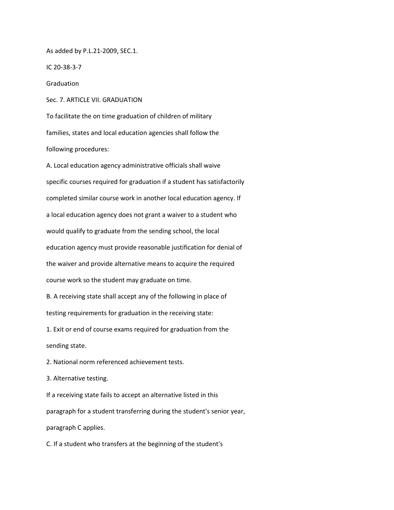As added by P.L.21-2009, SEC.1.

IC 20-38-3-7

**Graduation** 

Sec. 7. ARTICLE VII. GRADUATION

To facilitate the on time graduation of children of military families, states and local education agencies shall follow the following procedures:

A. Local education agency administrative officials shall waive specific courses required for graduation if a student has satisfactorily completed similar course work in another local education agency. If a local education agency does not grant a waiver to a student who would qualify to graduate from the sending school, the local education agency must provide reasonable justification for denial of the waiver and provide alternative means to acquire the required course work so the student may graduate on time.

B. A receiving state shall accept any of the following in place of testing requirements for graduation in the receiving state:

1. Exit or end of course exams required for graduation from the sending state.

2. National norm referenced achievement tests.

3. Alternative testing.

If a receiving state fails to accept an alternative listed in this paragraph for a student transferring during the student's senior year, paragraph C applies.

C. If a student who transfers at the beginning of the student's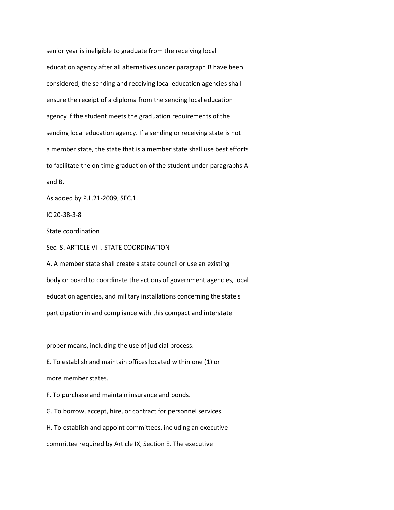senior year is ineligible to graduate from the receiving local education agency after all alternatives under paragraph B have been considered, the sending and receiving local education agencies shall ensure the receipt of a diploma from the sending local education agency if the student meets the graduation requirements of the sending local education agency. If a sending or receiving state is not a member state, the state that is a member state shall use best efforts to facilitate the on time graduation of the student under paragraphs A and B.

As added by P.L.21-2009, SEC.1.

IC 20-38-3-8

State coordination

Sec. 8. ARTICLE VIII. STATE COORDINATION

A. A member state shall create a state council or use an existing body or board to coordinate the actions of government agencies, local education agencies, and military installations concerning the state's participation in and compliance with this compact and interstate

proper means, including the use of judicial process.

E. To establish and maintain offices located within one (1) or

more member states.

F. To purchase and maintain insurance and bonds.

G. To borrow, accept, hire, or contract for personnel services.

H. To establish and appoint committees, including an executive

committee required by Article IX, Section E. The executive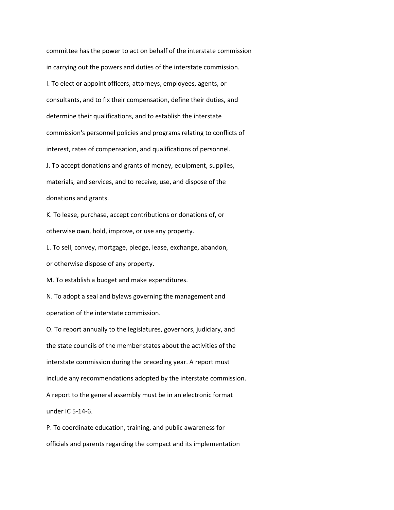committee has the power to act on behalf of the interstate commission in carrying out the powers and duties of the interstate commission. I. To elect or appoint officers, attorneys, employees, agents, or consultants, and to fix their compensation, define their duties, and determine their qualifications, and to establish the interstate commission's personnel policies and programs relating to conflicts of interest, rates of compensation, and qualifications of personnel. J. To accept donations and grants of money, equipment, supplies, materials, and services, and to receive, use, and dispose of the donations and grants.

K. To lease, purchase, accept contributions or donations of, or otherwise own, hold, improve, or use any property.

L. To sell, convey, mortgage, pledge, lease, exchange, abandon, or otherwise dispose of any property.

M. To establish a budget and make expenditures.

N. To adopt a seal and bylaws governing the management and operation of the interstate commission.

O. To report annually to the legislatures, governors, judiciary, and the state councils of the member states about the activities of the interstate commission during the preceding year. A report must include any recommendations adopted by the interstate commission. A report to the general assembly must be in an electronic format under IC 5-14-6.

P. To coordinate education, training, and public awareness for officials and parents regarding the compact and its implementation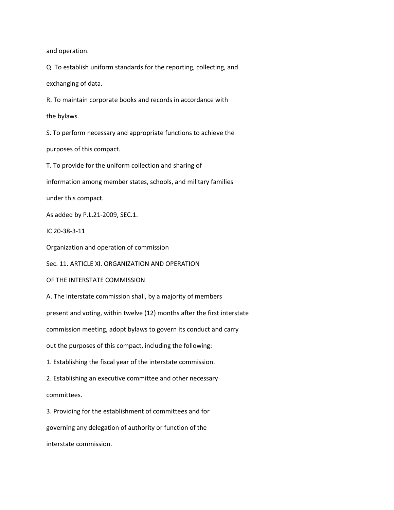and operation.

Q. To establish uniform standards for the reporting, collecting, and exchanging of data.

R. To maintain corporate books and records in accordance with

the bylaws.

S. To perform necessary and appropriate functions to achieve the

purposes of this compact.

T. To provide for the uniform collection and sharing of

information among member states, schools, and military families

under this compact.

As added by P.L.21-2009, SEC.1.

IC 20-38-3-11

Organization and operation of commission

Sec. 11. ARTICLE XI. ORGANIZATION AND OPERATION

OF THE INTERSTATE COMMISSION

A. The interstate commission shall, by a majority of members

present and voting, within twelve (12) months after the first interstate

commission meeting, adopt bylaws to govern its conduct and carry

out the purposes of this compact, including the following:

1. Establishing the fiscal year of the interstate commission.

2. Establishing an executive committee and other necessary committees.

3. Providing for the establishment of committees and for

governing any delegation of authority or function of the

interstate commission.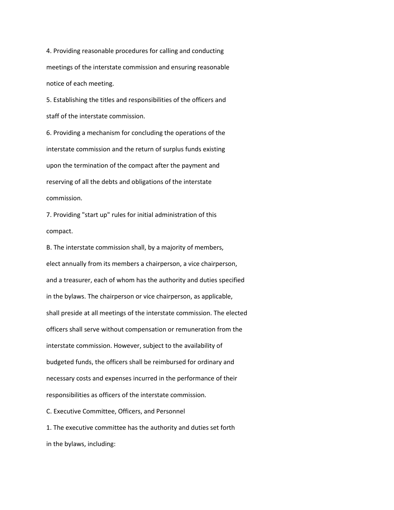4. Providing reasonable procedures for calling and conducting meetings of the interstate commission and ensuring reasonable notice of each meeting.

5. Establishing the titles and responsibilities of the officers and staff of the interstate commission.

6. Providing a mechanism for concluding the operations of the interstate commission and the return of surplus funds existing upon the termination of the compact after the payment and reserving of all the debts and obligations of the interstate commission.

7. Providing "start up" rules for initial administration of this compact.

B. The interstate commission shall, by a majority of members, elect annually from its members a chairperson, a vice chairperson, and a treasurer, each of whom has the authority and duties specified in the bylaws. The chairperson or vice chairperson, as applicable, shall preside at all meetings of the interstate commission. The elected officers shall serve without compensation or remuneration from the interstate commission. However, subject to the availability of budgeted funds, the officers shall be reimbursed for ordinary and necessary costs and expenses incurred in the performance of their responsibilities as officers of the interstate commission.

C. Executive Committee, Officers, and Personnel

1. The executive committee has the authority and duties set forth in the bylaws, including: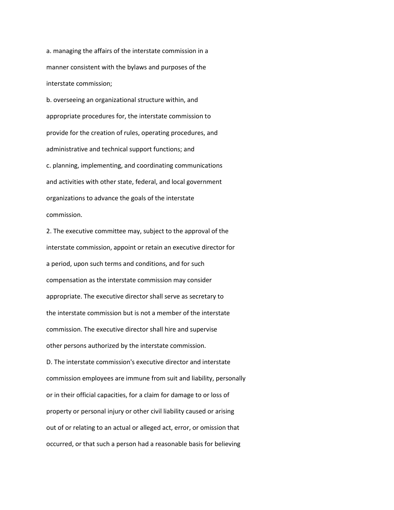a. managing the affairs of the interstate commission in a manner consistent with the bylaws and purposes of the interstate commission;

b. overseeing an organizational structure within, and appropriate procedures for, the interstate commission to provide for the creation of rules, operating procedures, and administrative and technical support functions; and c. planning, implementing, and coordinating communications and activities with other state, federal, and local government organizations to advance the goals of the interstate commission.

2. The executive committee may, subject to the approval of the interstate commission, appoint or retain an executive director for a period, upon such terms and conditions, and for such compensation as the interstate commission may consider appropriate. The executive director shall serve as secretary to the interstate commission but is not a member of the interstate commission. The executive director shall hire and supervise other persons authorized by the interstate commission. D. The interstate commission's executive director and interstate commission employees are immune from suit and liability, personally or in their official capacities, for a claim for damage to or loss of property or personal injury or other civil liability caused or arising out of or relating to an actual or alleged act, error, or omission that occurred, or that such a person had a reasonable basis for believing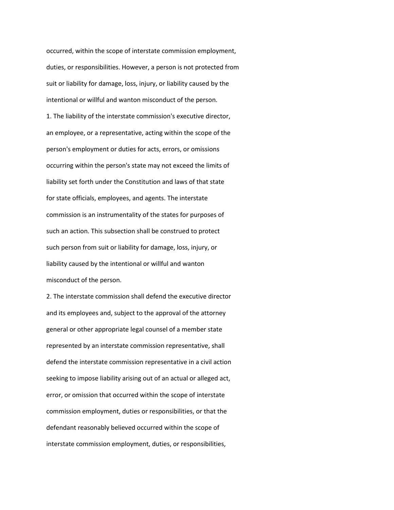occurred, within the scope of interstate commission employment, duties, or responsibilities. However, a person is not protected from suit or liability for damage, loss, injury, or liability caused by the intentional or willful and wanton misconduct of the person. 1. The liability of the interstate commission's executive director, an employee, or a representative, acting within the scope of the person's employment or duties for acts, errors, or omissions occurring within the person's state may not exceed the limits of liability set forth under the Constitution and laws of that state for state officials, employees, and agents. The interstate commission is an instrumentality of the states for purposes of such an action. This subsection shall be construed to protect such person from suit or liability for damage, loss, injury, or liability caused by the intentional or willful and wanton misconduct of the person.

2. The interstate commission shall defend the executive director and its employees and, subject to the approval of the attorney general or other appropriate legal counsel of a member state represented by an interstate commission representative, shall defend the interstate commission representative in a civil action seeking to impose liability arising out of an actual or alleged act, error, or omission that occurred within the scope of interstate commission employment, duties or responsibilities, or that the defendant reasonably believed occurred within the scope of interstate commission employment, duties, or responsibilities,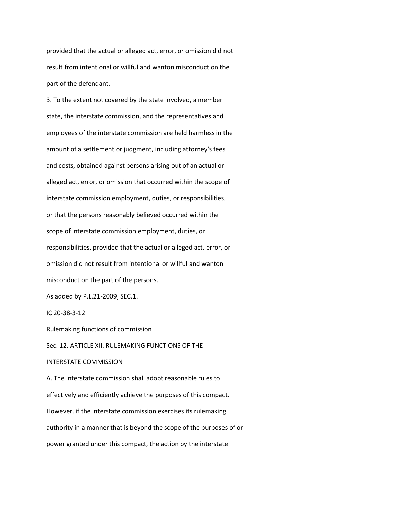provided that the actual or alleged act, error, or omission did not result from intentional or willful and wanton misconduct on the part of the defendant.

3. To the extent not covered by the state involved, a member state, the interstate commission, and the representatives and employees of the interstate commission are held harmless in the amount of a settlement or judgment, including attorney's fees and costs, obtained against persons arising out of an actual or alleged act, error, or omission that occurred within the scope of interstate commission employment, duties, or responsibilities, or that the persons reasonably believed occurred within the scope of interstate commission employment, duties, or responsibilities, provided that the actual or alleged act, error, or omission did not result from intentional or willful and wanton misconduct on the part of the persons.

As added by P.L.21-2009, SEC.1.

IC 20-38-3-12

Rulemaking functions of commission

Sec. 12. ARTICLE XII. RULEMAKING FUNCTIONS OF THE

## INTERSTATE COMMISSION

A. The interstate commission shall adopt reasonable rules to effectively and efficiently achieve the purposes of this compact. However, if the interstate commission exercises its rulemaking authority in a manner that is beyond the scope of the purposes of or power granted under this compact, the action by the interstate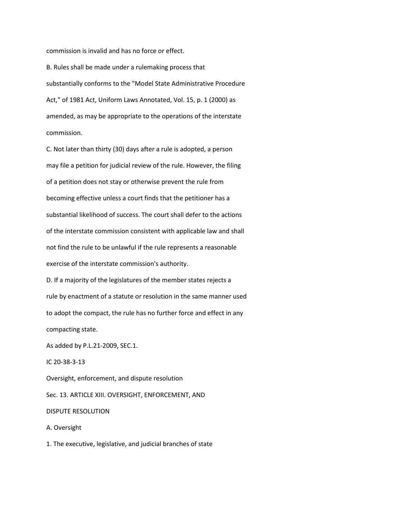commission is invalid and has no force or effect.

B. Rules shall be made under a rulemaking process that substantially conforms to the "Model State Administrative Procedure Act," of 1981 Act, Uniform Laws Annotated, Vol. 15, p. 1 (2000) as amended, as may be appropriate to the operations of the interstate commission.

C. Not later than thirty (30) days after a rule is adopted, a person may file a petition for judicial review of the rule. However, the filing of a petition does not stay or otherwise prevent the rule from becoming effective unless a court finds that the petitioner has a substantial likelihood of success. The court shall defer to the actions of the interstate commission consistent with applicable law and shall not find the rule to be unlawful if the rule represents a reasonable exercise of the interstate commission's authority.

D. If a majority of the legislatures of the member states rejects a rule by enactment of a statute or resolution in the same manner used to adopt the compact, the rule has no further force and effect in any compacting state.

As added by P.L.21-2009, SEC.1.

IC 20-38-3-13

Oversight, enforcement, and dispute resolution Sec. 13. ARTICLE XIII. OVERSIGHT, ENFORCEMENT, AND

DISPUTE RESOLUTION

A. Oversight

1. The executive, legislative, and judicial branches of state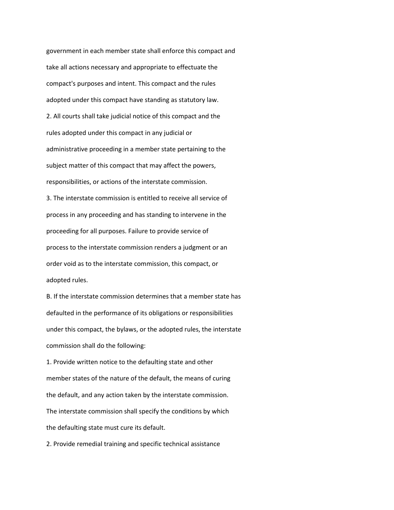government in each member state shall enforce this compact and take all actions necessary and appropriate to effectuate the compact's purposes and intent. This compact and the rules adopted under this compact have standing as statutory law. 2. All courts shall take judicial notice of this compact and the rules adopted under this compact in any judicial or administrative proceeding in a member state pertaining to the subject matter of this compact that may affect the powers, responsibilities, or actions of the interstate commission. 3. The interstate commission is entitled to receive all service of process in any proceeding and has standing to intervene in the proceeding for all purposes. Failure to provide service of process to the interstate commission renders a judgment or an order void as to the interstate commission, this compact, or adopted rules.

B. If the interstate commission determines that a member state has defaulted in the performance of its obligations or responsibilities under this compact, the bylaws, or the adopted rules, the interstate commission shall do the following:

1. Provide written notice to the defaulting state and other member states of the nature of the default, the means of curing the default, and any action taken by the interstate commission. The interstate commission shall specify the conditions by which the defaulting state must cure its default.

2. Provide remedial training and specific technical assistance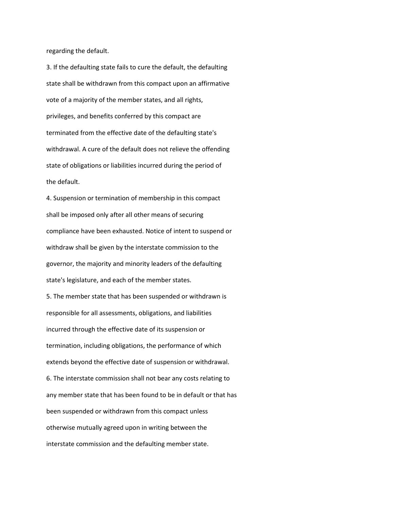regarding the default.

3. If the defaulting state fails to cure the default, the defaulting state shall be withdrawn from this compact upon an affirmative vote of a majority of the member states, and all rights, privileges, and benefits conferred by this compact are terminated from the effective date of the defaulting state's withdrawal. A cure of the default does not relieve the offending state of obligations or liabilities incurred during the period of the default.

4. Suspension or termination of membership in this compact shall be imposed only after all other means of securing compliance have been exhausted. Notice of intent to suspend or withdraw shall be given by the interstate commission to the governor, the majority and minority leaders of the defaulting state's legislature, and each of the member states.

5. The member state that has been suspended or withdrawn is responsible for all assessments, obligations, and liabilities incurred through the effective date of its suspension or termination, including obligations, the performance of which extends beyond the effective date of suspension or withdrawal. 6. The interstate commission shall not bear any costs relating to any member state that has been found to be in default or that has been suspended or withdrawn from this compact unless otherwise mutually agreed upon in writing between the interstate commission and the defaulting member state.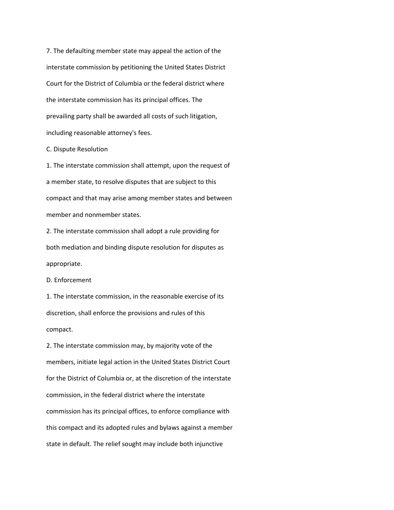7. The defaulting member state may appeal the action of the interstate commission by petitioning the United States District Court for the District of Columbia or the federal district where the interstate commission has its principal offices. The prevailing party shall be awarded all costs of such litigation, including reasonable attorney's fees.

C. Dispute Resolution

1. The interstate commission shall attempt, upon the request of a member state, to resolve disputes that are subject to this compact and that may arise among member states and between member and nonmember states.

2. The interstate commission shall adopt a rule providing for both mediation and binding dispute resolution for disputes as appropriate.

D. Enforcement

1. The interstate commission, in the reasonable exercise of its discretion, shall enforce the provisions and rules of this compact.

2. The interstate commission may, by majority vote of the members, initiate legal action in the United States District Court for the District of Columbia or, at the discretion of the interstate commission, in the federal district where the interstate commission has its principal offices, to enforce compliance with this compact and its adopted rules and bylaws against a member state in default. The relief sought may include both injunctive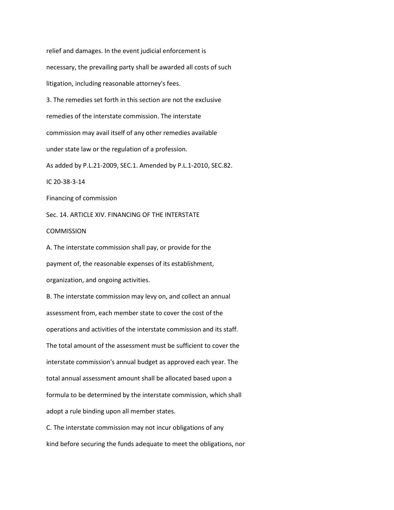relief and damages. In the event judicial enforcement is necessary, the prevailing party shall be awarded all costs of such litigation, including reasonable attorney's fees. 3. The remedies set forth in this section are not the exclusive remedies of the interstate commission. The interstate commission may avail itself of any other remedies available under state law or the regulation of a profession. As added by P.L.21-2009, SEC.1. Amended by P.L.1-2010, SEC.82. IC 20-38-3-14 Financing of commission Sec. 14. ARTICLE XIV. FINANCING OF THE INTERSTATE COMMISSION A. The interstate commission shall pay, or provide for the payment of, the reasonable expenses of its establishment, organization, and ongoing activities. B. The interstate commission may levy on, and collect an annual assessment from, each member state to cover the cost of the operations and activities of the interstate commission and its staff. The total amount of the assessment must be sufficient to cover the interstate commission's annual budget as approved each year. The total annual assessment amount shall be allocated based upon a formula to be determined by the interstate commission, which shall adopt a rule binding upon all member states.

C. The interstate commission may not incur obligations of any kind before securing the funds adequate to meet the obligations, nor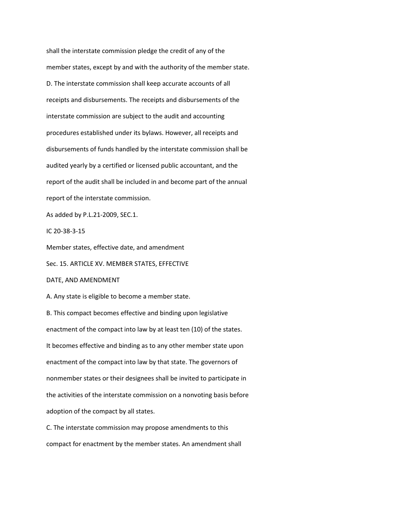shall the interstate commission pledge the credit of any of the member states, except by and with the authority of the member state. D. The interstate commission shall keep accurate accounts of all receipts and disbursements. The receipts and disbursements of the interstate commission are subject to the audit and accounting procedures established under its bylaws. However, all receipts and disbursements of funds handled by the interstate commission shall be audited yearly by a certified or licensed public accountant, and the report of the audit shall be included in and become part of the annual report of the interstate commission.

As added by P.L.21-2009, SEC.1.

IC 20-38-3-15

Member states, effective date, and amendment

Sec. 15. ARTICLE XV. MEMBER STATES, EFFECTIVE

DATE, AND AMENDMENT

A. Any state is eligible to become a member state.

B. This compact becomes effective and binding upon legislative enactment of the compact into law by at least ten (10) of the states. It becomes effective and binding as to any other member state upon enactment of the compact into law by that state. The governors of nonmember states or their designees shall be invited to participate in the activities of the interstate commission on a nonvoting basis before adoption of the compact by all states.

C. The interstate commission may propose amendments to this compact for enactment by the member states. An amendment shall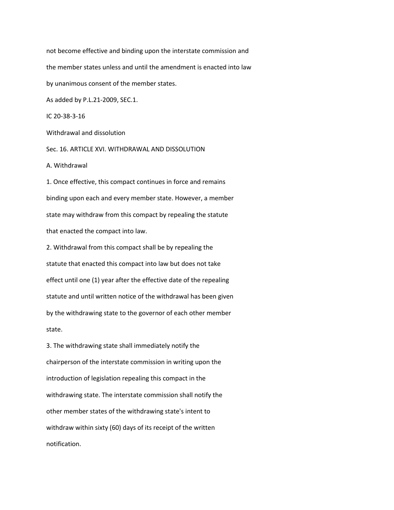not become effective and binding upon the interstate commission and the member states unless and until the amendment is enacted into law by unanimous consent of the member states. As added by P.L.21-2009, SEC.1. IC 20-38-3-16 Withdrawal and dissolution

Sec. 16. ARTICLE XVI. WITHDRAWAL AND DISSOLUTION

A. Withdrawal

1. Once effective, this compact continues in force and remains binding upon each and every member state. However, a member state may withdraw from this compact by repealing the statute that enacted the compact into law.

2. Withdrawal from this compact shall be by repealing the statute that enacted this compact into law but does not take effect until one (1) year after the effective date of the repealing statute and until written notice of the withdrawal has been given by the withdrawing state to the governor of each other member state.

3. The withdrawing state shall immediately notify the chairperson of the interstate commission in writing upon the introduction of legislation repealing this compact in the withdrawing state. The interstate commission shall notify the other member states of the withdrawing state's intent to withdraw within sixty (60) days of its receipt of the written notification.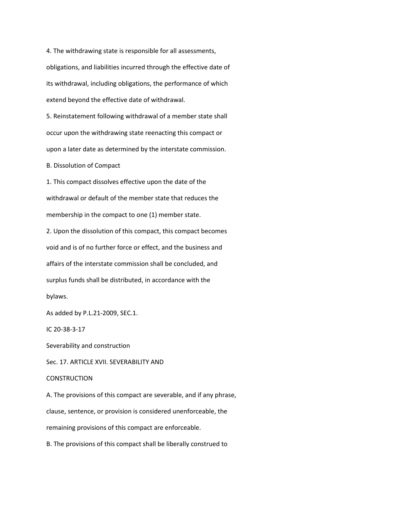4. The withdrawing state is responsible for all assessments, obligations, and liabilities incurred through the effective date of its withdrawal, including obligations, the performance of which extend beyond the effective date of withdrawal.

5. Reinstatement following withdrawal of a member state shall occur upon the withdrawing state reenacting this compact or upon a later date as determined by the interstate commission.

B. Dissolution of Compact

1. This compact dissolves effective upon the date of the withdrawal or default of the member state that reduces the membership in the compact to one (1) member state.

2. Upon the dissolution of this compact, this compact becomes void and is of no further force or effect, and the business and affairs of the interstate commission shall be concluded, and surplus funds shall be distributed, in accordance with the bylaws.

As added by P.L.21-2009, SEC.1.

IC 20-38-3-17

Severability and construction

Sec. 17. ARTICLE XVII. SEVERABILITY AND

## **CONSTRUCTION**

A. The provisions of this compact are severable, and if any phrase,

clause, sentence, or provision is considered unenforceable, the

remaining provisions of this compact are enforceable.

B. The provisions of this compact shall be liberally construed to